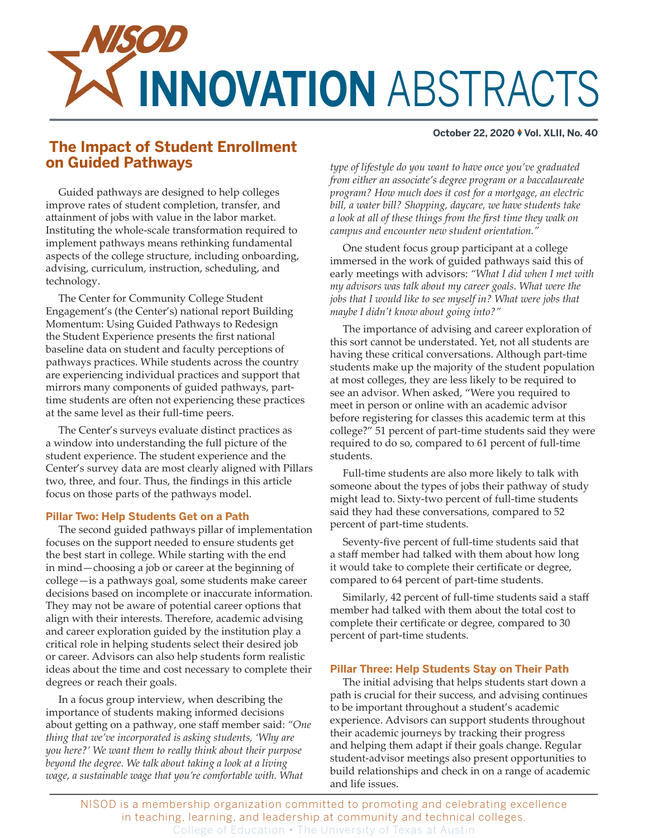

#### **October 22, 2020 ♦ Vol. XLII, No. 40**

# **The Impact of Student Enrollment on Guided Pathways**

*type of lifestyle do you want to have once you've graduated from either an associate's degree program or a baccalaureate program? How much does it cost for a mortgage, an electric bill, a water bill? Shopping, daycare, we have students take a look at all of these things from the first time they walk on campus and encounter new student orientation."*

One student focus group participant at a college immersed in the work of guided pathways said this of early meetings with advisors: *"What I did when I met with my advisors was talk about my career goals. What were the jobs that I would like to see myself in? What were jobs that maybe I didn't know about going into?"*

The importance of advising and career exploration of this sort cannot be understated. Yet, not all students are having these critical conversations. Although part-time students make up the majority of the student population at most colleges, they are less likely to be required to see an advisor. When asked, "Were you required to meet in person or online with an academic advisor before registering for classes this academic term at this college?" 51 percent of part-time students said they were required to do so, compared to 61 percent of full-time students.

Full-time students are also more likely to talk with someone about the types of jobs their pathway of study might lead to. Sixty-two percent of full-time students said they had these conversations, compared to 52 percent of part-time students.

Seventy-five percent of full-time students said that a staff member had talked with them about how long it would take to complete their certificate or degree, compared to 64 percent of part-time students.

Similarly, 42 percent of full-time students said a staff member had talked with them about the total cost to complete their certificate or degree, compared to 30 percent of part-time students.

## **Pillar Three: Help Students Stay on Their Path**

The initial advising that helps students start down a path is crucial for their success, and advising continues to be important throughout a student's academic experience. Advisors can support students throughout their academic journeys by tracking their progress and helping them adapt if their goals change. Regular student-advisor meetings also present opportunities to build relationships and check in on a range of academic and life issues.

NISOD is a membership organization committed to promoting and celebrating excellence in teaching, learning, and leadership at community and technical colleges. College of Education • The University of Texas at Austin

Guided pathways are designed to help colleges improve rates of student completion, transfer, and attainment of jobs with value in the labor market. Instituting the whole-scale transformation required to implement pathways means rethinking fundamental aspects of the college structure, including onboarding, advising, curriculum, instruction, scheduling, and technology.

The Center for Community College Student Engagement's (the Center's) national report Building Momentum: Using Guided Pathways to Redesign the Student Experience presents the first national baseline data on student and faculty perceptions of pathways practices. While students across the country are experiencing individual practices and support that mirrors many components of guided pathways, parttime students are often not experiencing these practices at the same level as their full-time peers.

The Center's surveys evaluate distinct practices as a window into understanding the full picture of the student experience. The student experience and the Center's survey data are most clearly aligned with Pillars two, three, and four. Thus, the findings in this article focus on those parts of the pathways model.

# **Pillar Two: Help Students Get on a Path**

The second guided pathways pillar of implementation focuses on the support needed to ensure students get the best start in college. While starting with the end in mind—choosing a job or career at the beginning of college—is a pathways goal, some students make career decisions based on incomplete or inaccurate information. They may not be aware of potential career options that align with their interests. Therefore, academic advising and career exploration guided by the institution play a critical role in helping students select their desired job or career. Advisors can also help students form realistic ideas about the time and cost necessary to complete their degrees or reach their goals.

In a focus group interview, when describing the importance of students making informed decisions about getting on a pathway, one staff member said: *"One thing that we've incorporated is asking students, 'Why are you here?' We want them to really think about their purpose beyond the degree. We talk about taking a look at a living wage, a sustainable wage that you're comfortable with. What*